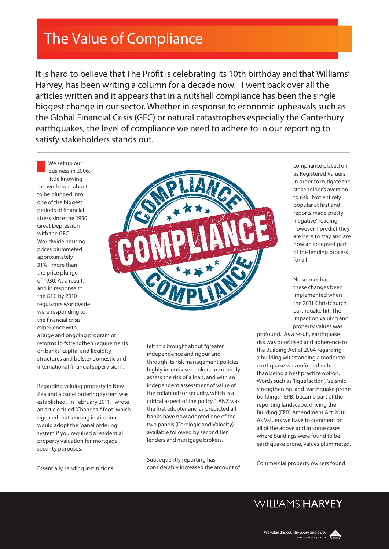## The Value of Compliance

It is hard to believe that The Profit is celebrating its 10th birthday and that Williams' Harvey, has been writing a column for a decade now. I went back over all the articles written and it appears that in a nutshell compliance has been the single biggest change in our sector. Whether in response to economic upheavals such as the Global Financial Crisis (GFC) or natural catastrophes especially the Canterbury earthquakes, the level of compliance we need to adhere to in our reporting to satisfy stakeholders stands out.

We set up our business in 2006, little knowing the world was about to be plunged into one of the biggest periods of financial stress since the 1930 Great Depression with the GFC. Worldwide housing prices plummeted approximately 31% - more than the price plunge of 1930. As a result, and in response to the GFC by 2010 regulators worldwide were responding to the financial crisis experience with



a large and ongoing program of reforms to "strengthen requirements on banks' capital and liquidity structures and bolster domestic and international financial supervision".

Regarding valuing property in New Zealand a panel ordering system was established. In February 2011, I wrote an article titled 'Changes Afoot' which signaled that lending institutions would adopt the 'panel ordering' system if you required a residential property valuation for mortgage security purposes.

felt this brought about "greater independence and rigour and through its risk management policies, highly incentivise bankers to correctly assess the risk of a loan, and with an independent assessment of value of the collateral for security, which is a critical aspect of the policy." ANZ was the first adopter and as predicted all banks have now adopted one of the two panels (Corelogic and Valocity) available followed by second tier lenders and mortgage brokers.

Subsequently reporting has considerably increased the amount of compliance placed on as Registered Valuers in order to mitigate the stakeholder's aversion to risk. Not entirely popular at first and reports made pretty 'negative' reading, however, I predict they are here to stay and are now an accepted part of the lending process for all.

No sooner had these changes been implemented when the 2011 Christchurch earthquake hit. The impact on valuing and property values was

profound. As a result, earthquake risk was prioritised and adherence to the Building Act of 2004 regarding a building withstanding a moderate earthquake was enforced rather than being a best practice option. Words such as 'liquefaction', 'seismic strengthening' and 'earthquake prone buildings' (EPB) became part of the reporting landscape, driving the Building (EPB) Amendment Act 2016. As Valuers we have to comment on all of the above and in some cases where buildings were found to be earthquake prone, values plummeted.

Commercial property owners found

## Essentially, lending institutions